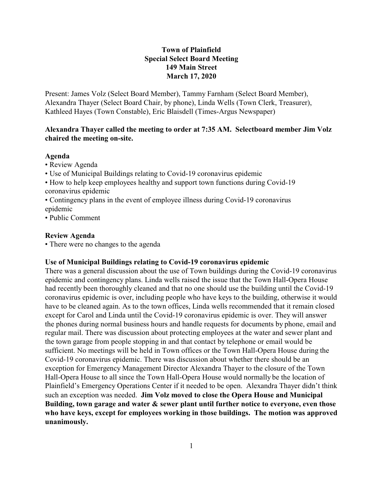# **Town of Plainfield Special Select Board Meeting 149 Main Street March 17, 2020**

Present: James Volz (Select Board Member), Tammy Farnham (Select Board Member), Alexandra Thayer (Select Board Chair, by phone), Linda Wells (Town Clerk, Treasurer), Kathleed Hayes (Town Constable), Eric Blaisdell (Times-Argus Newspaper)

## **Alexandra Thayer called the meeting to order at 7:35 AM. Selectboard member Jim Volz chaired the meeting on-site.**

### **Agenda**

- Review Agenda
- Use of Municipal Buildings relating to Covid-19 coronavirus epidemic
- How to help keep employees healthy and support town functions during Covid-19 coronavirus epidemic
- Contingency plans in the event of employee illness during Covid-19 coronavirus epidemic
- Public Comment

### **Review Agenda**

• There were no changes to the agenda

## **Use of Municipal Buildings relating to Covid-19 coronavirus epidemic**

There was a general discussion about the use of Town buildings during the Covid-19 coronavirus epidemic and contingency plans. Linda wells raised the issue that the Town Hall-Opera House had recently been thoroughly cleaned and that no one should use the building until the Covid-19 coronavirus epidemic is over, including people who have keys to the building, otherwise it would have to be cleaned again. As to the town offices, Linda wells recommended that it remain closed except for Carol and Linda until the Covid-19 coronavirus epidemic is over. They will answer the phones during normal business hours and handle requests for documents by phone, email and regular mail. There was discussion about protecting employees at the water and sewer plant and the town garage from people stopping in and that contact by telephone or email would be sufficient. No meetings will be held in Town offices or the Town Hall-Opera House during the Covid-19 coronavirus epidemic. There was discussion about whether there should be an exception for Emergency Management Director Alexandra Thayer to the closure of the Town Hall-Opera House to all since the Town Hall-Opera House would normally be the location of Plainfield's Emergency Operations Center if it needed to be open. Alexandra Thayer didn't think such an exception was needed. **Jim Volz moved to close the Opera House and Municipal Building, town garage and water & sewer plant until further notice to everyone, even those who have keys, except for employees working in those buildings. The motion was approved unanimously.**